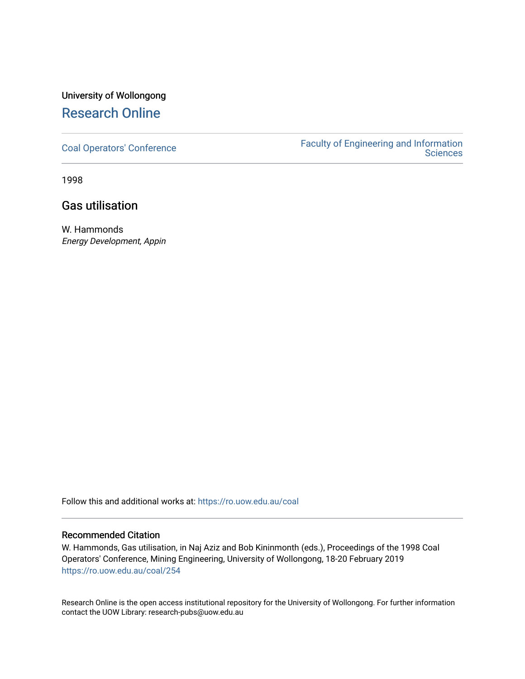# University of Wollongong [Research Online](https://ro.uow.edu.au/)

[Coal Operators' Conference](https://ro.uow.edu.au/coal) [Faculty of Engineering and Information](https://ro.uow.edu.au/eis)  **Sciences** 

1998

# Gas utilisation

W. Hammonds Energy Development, Appin

Follow this and additional works at: [https://ro.uow.edu.au/coal](https://ro.uow.edu.au/coal?utm_source=ro.uow.edu.au%2Fcoal%2F254&utm_medium=PDF&utm_campaign=PDFCoverPages) 

#### Recommended Citation

W. Hammonds, Gas utilisation, in Naj Aziz and Bob Kininmonth (eds.), Proceedings of the 1998 Coal Operators' Conference, Mining Engineering, University of Wollongong, 18-20 February 2019 [https://ro.uow.edu.au/coal/254](https://ro.uow.edu.au/coal/254?utm_source=ro.uow.edu.au%2Fcoal%2F254&utm_medium=PDF&utm_campaign=PDFCoverPages) 

Research Online is the open access institutional repository for the University of Wollongong. For further information contact the UOW Library: research-pubs@uow.edu.au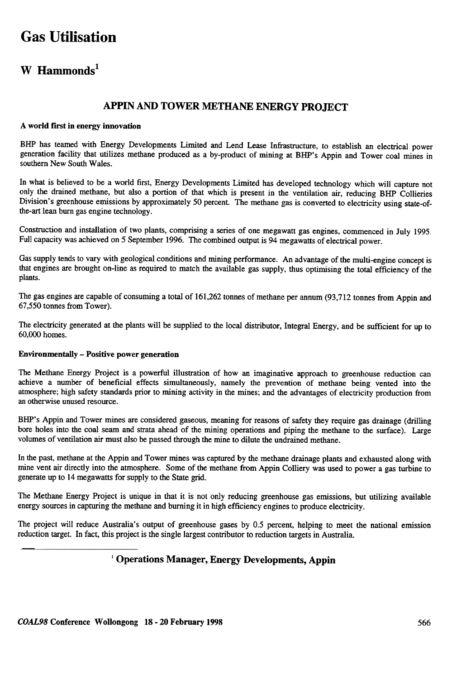# Gas Utilisation

## W Hammonds<sup>1</sup>

### APPIN AND TOWER METHANE ENERGY PROJECT

#### A world first in energy innovation

BHP has teamed with Energy Developments Limited and Lend Lease Infrastructure, to establish an electrical power generation facility that utilizes methane produced as a by-product of mining at BHP's Appin and Tower coal mines in southern New South Wales.

In what is believed to be a world first, Energy Developments Limited has developed technology which will capture not only the drained methane, but also a portion of that which is present in the ventilation air, reducing BHP Collieries Division's greenhouse emissions by approximately 50 percent. The methane gas is converted to electricity using state-ofthe-art lean burn gas engine technology.

Construction and installation of two plants, comprising a series of one megawatt gas engines, commenced in July 1995 Full capacity was achieved on 5 September 1996. The combined output is 94 megawatts of electrical power.

Gas supply tends to vary with geological conditions and mining performance. An advantage of the multi-engine concept is that engines are brought on-line as required to match the available gas supply, thus optimising the total efficiency of the plants.

The gas engines are capable of consuming a total of 161,262 tonnes of methane per annum (93,712 tonnes from Appin and 67,550 tonnes from Tower).

The electricity generated at the plants will be supplied to the local distributor, Integral Energy, and be sufficient for up to 60,000 homes.

#### Environmentally -Positive power generation

The Methane Energy Project is a powerful illustration of how an imaginative approach to greenhouse reduction can achieve a number of beneficial effects simultaneously, namely the prevention of methane being vented into the atmosphere; high safety standards prior to mining activity in the mines; and the advantages of electricity production from an otherwise unused resource.

BHP's Appin and Tower mines are considered gaseous, meaning for reasons of safety they require gas drainage (drilling bore holes into the coal seam and strata ahead of the mining operations and piping the methane to the surface). Large volumes of ventilation air must also be passed through the mine to dilute the undrained methane.

In the past, methane at the Appin and Tower mines was captured by the methane drainage plants and exhausted along with mine vent air directly into the atmosphere. Some of the methane from Appin Colliery was used to power a gas turbine to generate up to 14 megawatts for supply to the State grid.

The Methane Energy Project is unique in that it is not only reducing greenhouse gas emissions, but utilizing available energy sources in capturing the methane and burning it in high efficiency engines to produce electricity.

The project will reduce Australia's output of greenhouse gases by 0.5 percent, helping to meet the national emission reduction target. In fact, this project is the single largest contributor to reduction targets in Australia.

## <sup>1</sup> Operations Manager, Energy Developments, Appin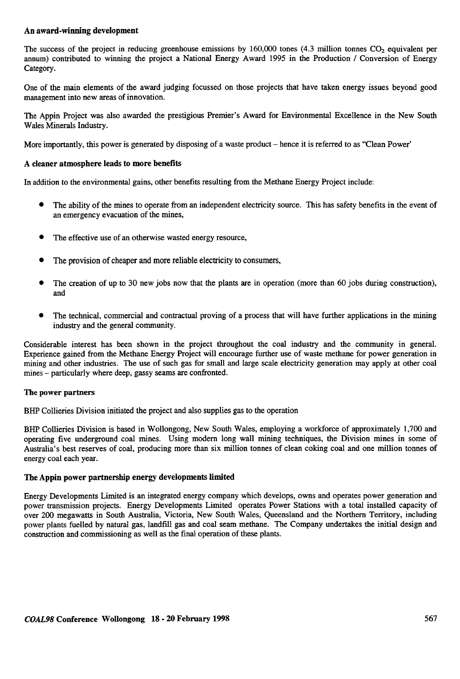#### An award-winning development

The success of the project in reducing greenhouse emissions by  $160,000$  tones  $(4.3 \text{ million tonnes } CO_2)$  equivalent per annum) contributed to winning the project a National Energy Award 1995 in the Production / Conversion of Energy Category.

One of the main elements of the award judging focussed on those projects that have taken energy issues beyond good management into new areas of innovation.

The Appin Project was also awarded the prestigious Premier's Award for Environmental Excellence in the New South Wales Minerals Industry.

More importantly, this power is generated by disposing of a waste product – hence it is referred to as "Clean Power"

#### A cleaner atmosphere leads to more benefits

In addition to the environmental gains, other benefits resulting from the Methane Energy Project include:

- . The ability of the mines to operate from an independent electricity source. This has safety benefits in the event of an emergency evacuation of the mines,
- The effective use of an otherwise wasted energy resource,
- . The provision of cheaper and more reliable electricity to consumers,
- . The creation of up to 30 new jobs now that the plants are in operation (more than 60 jobs during construction), and
- $\bullet$  The technical. commercial and contractual proving of a process that will have further applications in the mining industry and the general community.

Considerable interest has been shown in the project throughout the coal industry and the community in general. Experience gained from the Methane Energy Project will encourage further use of waste methane for power generation in mining and other industries. The use of such gas for small and large scale electricity generation may apply at other coal mines – particularly where deep, gassy seams are confronted.

#### The power partners

BHP Collieries Division initiated the project and also supplies gas to the operation

BHP Collieries Division is based in Wollongong, New South Wales, employing a workforce of approximately 1,700 and operating five underground coal mines. Using modern long wall mining techniques, the Division mines in some of Australia's best reserves of coal, producing more than six million tonnes of clean coking coal and one million tonnes of energy coal each year.

#### The Appin power partnership energy developments limited

Energy Developments Limited is an integrated energy company which develops, owns and operates power generation and power transmission projects. Energy Developments Limited operates Power Stations with a total installed capacity of over 200 megawatts in South Australia, Victoria, New South Wales, Queensland and the Northern Territory , including power plants fuelled by natural gas, landfill gas and coal seam methane. The Company undertakes the initial design and construction and commissioning as well as the final operation of these plants.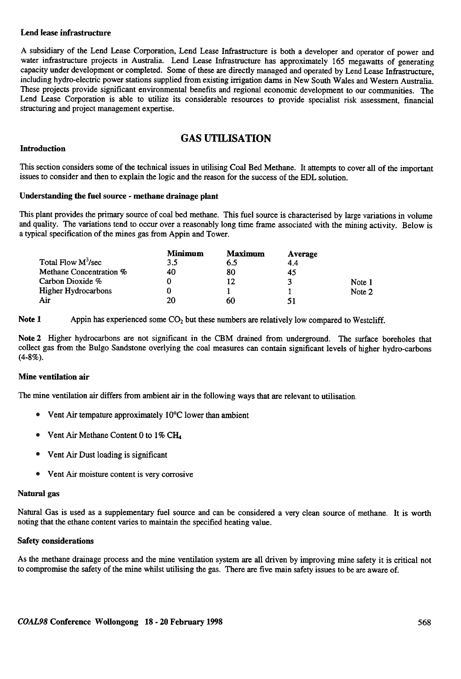#### Lend lease infrastructure

A subsidiary of the Lend Lease Corporation, Lend Lease Infrastructure is both a developer and operator of power and water infrastructure projects in Australia. Lend Lease Infrastructure has approximately 165 megawatts of generating capacity under development or completed. Some of these are directly managed and operated by Lend Lease Infrastructure, including hydro-electric power stations supplied from existing irrigation dams in New South Wales and Western Australia. These projects provide significant environmental benefits and regional economic development to our communities. The Lend Lease Corporation is able to utilize its considerable resources to provide specialist risk assessment, financial structuring and project management expertise.

## GAS UTILISA TION

#### Introduction

This section considers some of the technical issues in utilising Coal Bed Methane. It attempts to cover all of the important issues to consider and then to explain the logic and the reason for the success of the EDL solution.

#### Understanding the fuel source - methane drainage plant

This plant provides the primary source of coal bed methane. This fuel source is characterised by large variations in volume and quality. The variations tend to occur over a reasonably long time frame associated with the mining activity. Below is a typical specification of the mines gas from Appin and Tower.

|                         | Minimum | <b>Maximum</b> | Average |        |
|-------------------------|---------|----------------|---------|--------|
| Total Flow $M^3$ /sec   | 3.5     | 6.5            | 4.4     |        |
| Methane Concentration % | 40      | 80             | 45      |        |
| Carbon Dioxide %        |         | 12             | 3       | Note 1 |
| Higher Hydrocarbons     |         |                |         | Note 2 |
| Air                     | 20      | 60             | 51      |        |

Note 1 Appin has experienced some  $CO<sub>2</sub>$  but these numbers are relatively low compared to Westcliff.

Note 2 Higher hydrocarbons are not significant in the CBM drained from underground. The surface boreholes that collect gas from the Bulgo Sandstone overlying the coal measures can contain significant levels of higher hydro-carbons  $(4 - 8\%)$ .

#### Mine ventilation air

The mine ventilation air differs from ambient air in the following ways that are relevant to utilisation.

- Vent Air tempature approximately  $10^{\circ}$ C lower than ambient •
- Vent Air Methane Content 0 to  $1\%$  CH<sub>4</sub> •
- Vent Air Dust loading is significant
- Vent Air moisture content is very corrosive

#### Natural gas

Natural Gas is used as a supplementary fuel source and can be considered a very clean source of methane. It is wor noting that the ethane content varies to maintain the specified heating value.

#### Safety considerations

As the methane drainage process and the mine ventilation system are all driven by improving mine safety it is critical not to compromise the safety of the mine whilst utilising the gas. There are five main safety issues to be are aware of.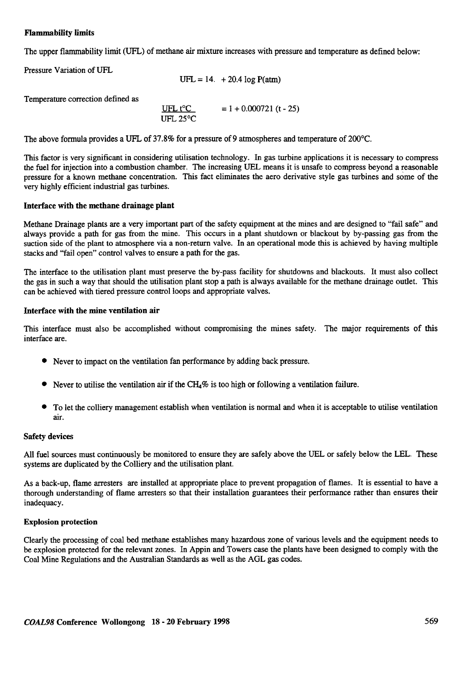#### Flammability limits

The upper flammability limit (UFL) of methane air mixture increases with pressure and temperature as defined below:

| Pressure Variation of UFL |  |  |
|---------------------------|--|--|
|---------------------------|--|--|

 $UFL = 14. + 20.4 log P(atm)$ 

Temperature correction defined as

UFL t°C UFL 25°C  $= 1 + 0.000721$  (t - 25)

The above formula provides a UFL of 37.8% for a pressure of 9 atmospheres and temperature of 200°C.

This factor is very significant in considering utilisation technology. In gas turbine applications it is necessary to compress the fuel for injection into a combustion chamber. The increasing VEL means it is unsafe to compress beyond a reasonable pressure for a known methane concentration. This fact eliminates the aero derivative style gas turbines and some of the very highly efficient industrial gas turbines.

#### Interface with the methane drainage plant

Methane Drainage plants are a very important part of the safety equipment at the mines and are designed to "fail safe" and always provide a path for gas from the mine. This occurs in a plant shutdown or blackout by by-passing gas from the suction side of the plant to atmosphere via a non-return valve. In an operational mode this is achieved by having multiple stacks and "fail open" control valves to ensure a path for the gas.

The interface to the utilisation plant must preserve the by-pass facility for shutdowns and blackouts. It must also collect the gas in such a way that should the utilisation plant stop a path is always available for the methane drainage outlet. This can be achieved with tiered pressure control loops and appropriate valves.

#### Interface with the mine ventilation air

This interface must also be accomplished without compromising the mines safety. The major requirements of this interface are.

- .Never to impact on the ventilation fan performance by adding back pressure.
- $\bullet$  Never to utilise the ventilation air if the CH<sub>4</sub>% is too high or following a ventilation failure.
- .To let the colliery management establish when ventilation is normal and when it is acceptable to utilise ventilation air.

#### Safety devices

All fuel sources must continuously be monitored to ensure they are safely above the UEL or safely below the LEL. These systems are duplicated by the Colliery and the utilisation plant.

As a back-up, flame arresters are installed at appropriate place to prevent propagation of flames. It is essential to have a thorough understanding of flame arresters so that their installation guarantees their performance rather than ensures their inadequacy.

#### Explosion protection

Clearly the processing of coal bed methane establishes many hazardous zone of various levels and the equipment needs to be explosion protected for the relevant zones. In Appin and Towers case the plants have been designed to comply with the Coal Mine Regulations and the Australian Standards as well as the AGL gas codes.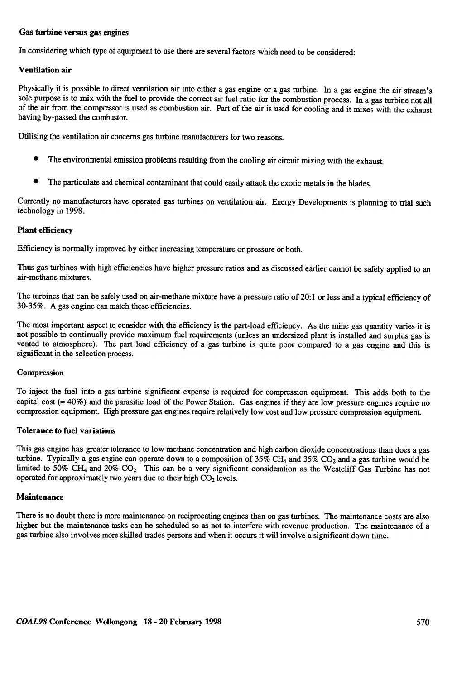#### Gas turbine versus gas engines

In considering which type of equipment to use there are several factors which need to be considered:

#### Ventilation air

Physically it is possible to direct ventilation air into either a gas engine or a gas turbine. In a gas engine the air stream's sole purpose is to mix with the fuel to provide the correct air fuel ratio for the combustion process. In a gas turbine not all of the air from the compressor is used as combustion air. Part of the air is used for cooling and it mixes with the exhaust having by-passed the combustor.

Utilising the ventilation air concerns gas turbine manufacturers for two reasons.

- . The environmental emission problems resulting from the cooling air circuit mixing with the exhaust.
- The particulate and chemical contaminant that could easily attack the exotic metals in the blades.

Currently no manufacturers have operated gas turbines on ventilation air. Energy Developments is planning to trial such technology in 1998.

#### Plant efficiency

Efficiency is normally improved by either increasing temperature or pressure or both.

Thus gas turbines with high efficiencies have higher pressure ratios and as discussed earlier cannot be safely applied to an air-methane mixtures.

The turbines that can be safely used on air-methane mixture have a pressure ratio of 20:1 or less and a typical efficiency of 30-35%. A gas engine can match these efficiencies.

The most important aspect to consider with the efficiency is the part-Ioad efficiency. As the mine gas quantity varies it is not possible to continually provide maximum fuel requirements (unless an undersized plant is installed and surplus gas is vented to atmosphere). The part load efficiency of a gas turbine is quite poor compared to a gas engine and this is significant in the selection process.

#### **Compression**

To inject the fuel into a gas turbine significant expense is required for compression equipment. This adds both to the capital cost ( $\approx$  40%) and the parasitic load of the Power Station. Gas engines if they are low pressure engines require no compression equipment. High pressure gas engines require relatively lovv cost and low pressure compression equipment.

#### Tolerance to fuel variations

This gas engine has greater tolerance to low methane concentration and high carbon dioxide concentrations than does a gas turbine. Typically a gas engine can operate down to a composition of  $35\%$  CH<sub>4</sub> and  $35\%$  CO<sub>2</sub> and a gas turbine would be limited to 50% CH<sub>4</sub> and 20% CO<sub>2</sub>. This can be a very significant consideration as the Westcliff Gas Turbine has not operated for approximately two years due to their high  $CO<sub>2</sub>$  levels.

#### **Maintenance**

There is no doubt there is more maintenance on reciprocating engines than on gas turbines. The maintenance costs are also higher but the maintenance tasks can be scheduled so as not to interfere with revenue production. The maintenance of a gas turbine also involves more skilled trades persons and when it occurs it will involve a significant down time.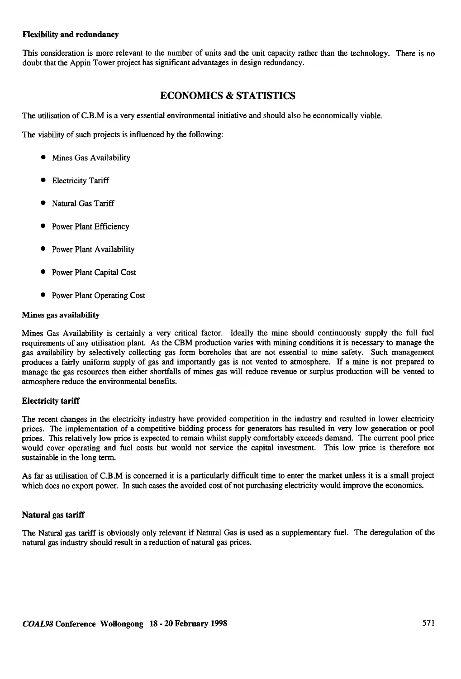#### Flexibility and redundancy

This consideration is more relevant to the number of units and the unit capacity rather than the technology. There is no doubt that the Appin Tower project has significant advantages in design redundancy.

## **ECONOMICS & STATISTICS**

The utilisation of C.B.M is a very essential environmental initiative and should also be economically viable.

The viability of such projects is influenced by the following:

- $\bullet$  Mines Gas Availability
- **•** Electricity Tariff
- Natural Gas Tariff
- Power Plant Efficiency
- Power Plant Availability
- Power Plant Capital Cost
- Power Plant Operating Cost

#### Mines gas availability

Mines Gas Availability is certainly a very critical factor. Ideally the mine should continuously supply the full fuel requirements of any utilisation plant. As the CBM production varies with mining conditions it is necessary to manage the gas availability by selectively collecting gas form boreholes that are not essential to mine safety. Such management produces a fairly uniform supply of gas and importantly gas is not vented to atmosphere. If a mine is not prepared to manage the gas resources then either shortfalls of mines gas will reduce revenue or surplus production will be vented to atmosphere reduce the environmental benefits.

#### Electricity tariff

The recent changes in the electricity industry have provided competition in the industry and resulted in lower electricity prices. The implementation of a competitive bidding process for generators has resulted in very low generation or pool prices. This relatively low price is expected to remain whilst supply comfortably exceeds demand. The current pool price would cover operating and fuel costs but would not service the capital investment. This low price is therefore not sustainable in the long term.

As far as utilisation of C.B.M is concerned it is a particularly difficult time to enter the market unless it is a small project which does no export power. In such cases the avoided cost of not purchasing electricity would improve the economics.

#### Natural gas tariff

The Natural gas tariff is obviously only relevant if Natural Gas is used as a supplementary fuel. The deregulation of the natural gas industry should result in a reduction of natural gas prices.